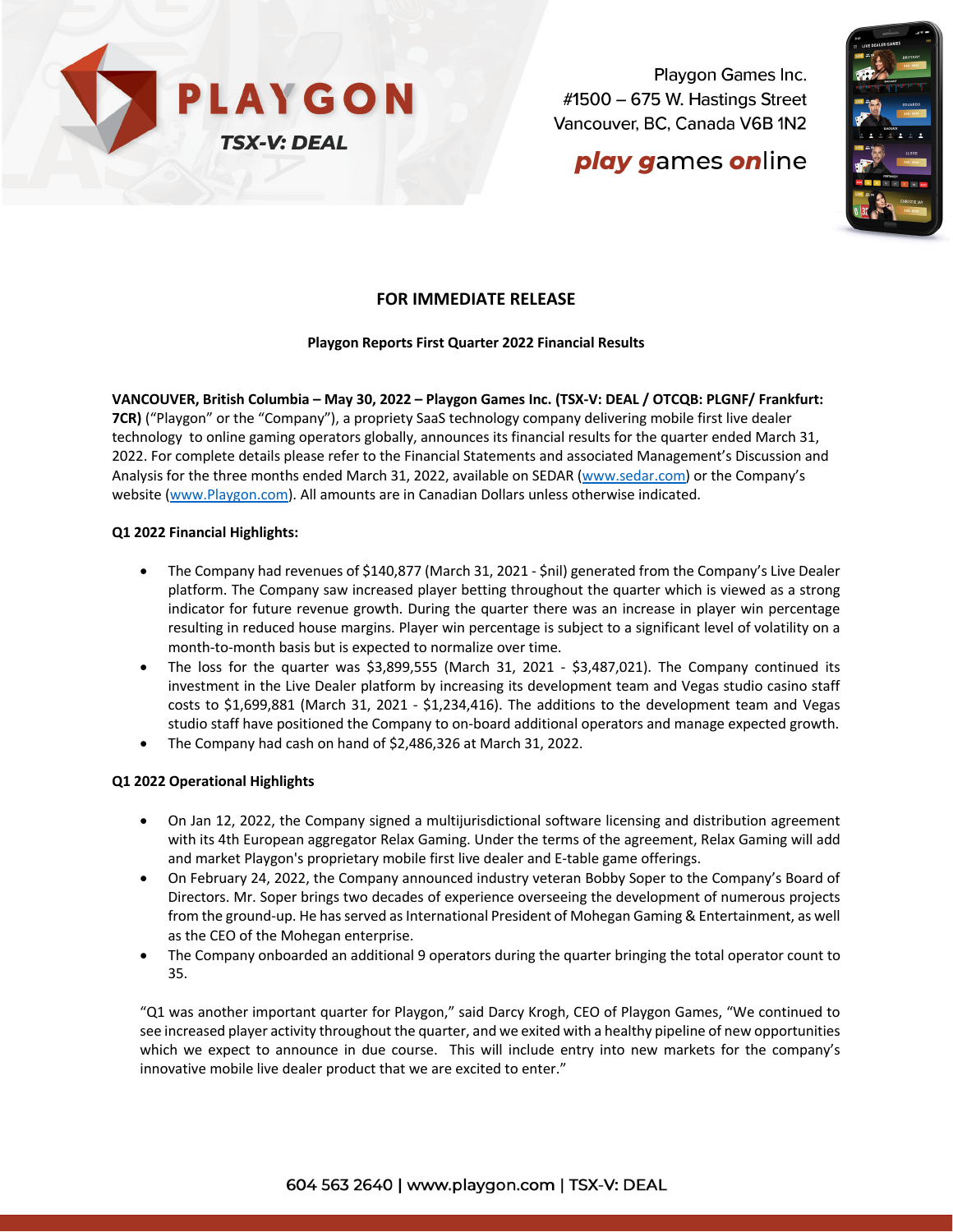

Playgon Games Inc. #1500 - 675 W. Hastings Street Vancouver, BC, Canada V6B 1N2

# **play games online**



### **FOR IMMEDIATE RELEASE**

#### **Playgon Reports First Quarter 2022 Financial Results**

**VANCOUVER, British Columbia – May 30, 2022 – Playgon Games Inc. (TSX-V: DEAL / OTCQB: PLGNF/ Frankfurt: 7CR)** ("Playgon" or the "Company"), a propriety SaaS technology company delivering mobile first live dealer technology to online gaming operators globally, announces its financial results for the quarter ended March 31, 2022. For complete details please refer to the Financial Statements and associated Management's Discussion and Analysis for the three months ended March 31, 2022, available on SEDAR (www.sedar.com) or the Company's website (www.Playgon.com). All amounts are in Canadian Dollars unless otherwise indicated.

#### **Q1 2022 Financial Highlights:**

- The Company had revenues of \$140,877 (March 31, 2021 \$nil) generated from the Company's Live Dealer platform. The Company saw increased player betting throughout the quarter which is viewed as a strong indicator for future revenue growth. During the quarter there was an increase in player win percentage resulting in reduced house margins. Player win percentage is subject to a significant level of volatility on a month-to-month basis but is expected to normalize over time.
- The loss for the quarter was \$3,899,555 (March 31, 2021 \$3,487,021). The Company continued its investment in the Live Dealer platform by increasing its development team and Vegas studio casino staff costs to \$1,699,881 (March 31, 2021 - \$1,234,416). The additions to the development team and Vegas studio staff have positioned the Company to on-board additional operators and manage expected growth.
- The Company had cash on hand of \$2,486,326 at March 31, 2022.

### **Q1 2022 Operational Highlights**

- On Jan 12, 2022, the Company signed a multijurisdictional software licensing and distribution agreement with its 4th European aggregator Relax Gaming. Under the terms of the agreement, Relax Gaming will add and market Playgon's proprietary mobile first live dealer and E-table game offerings.
- On February 24, 2022, the Company announced industry veteran Bobby Soper to the Company's Board of Directors. Mr. Soper brings two decades of experience overseeing the development of numerous projects from the ground-up. He has served as International President of Mohegan Gaming & Entertainment, as well as the CEO of the Mohegan enterprise.
- The Company onboarded an additional 9 operators during the quarter bringing the total operator count to 35.

"Q1 was another important quarter for Playgon," said Darcy Krogh, CEO of Playgon Games, "We continued to see increased player activity throughout the quarter, and we exited with a healthy pipeline of new opportunities which we expect to announce in due course. This will include entry into new markets for the company's innovative mobile live dealer product that we are excited to enter."